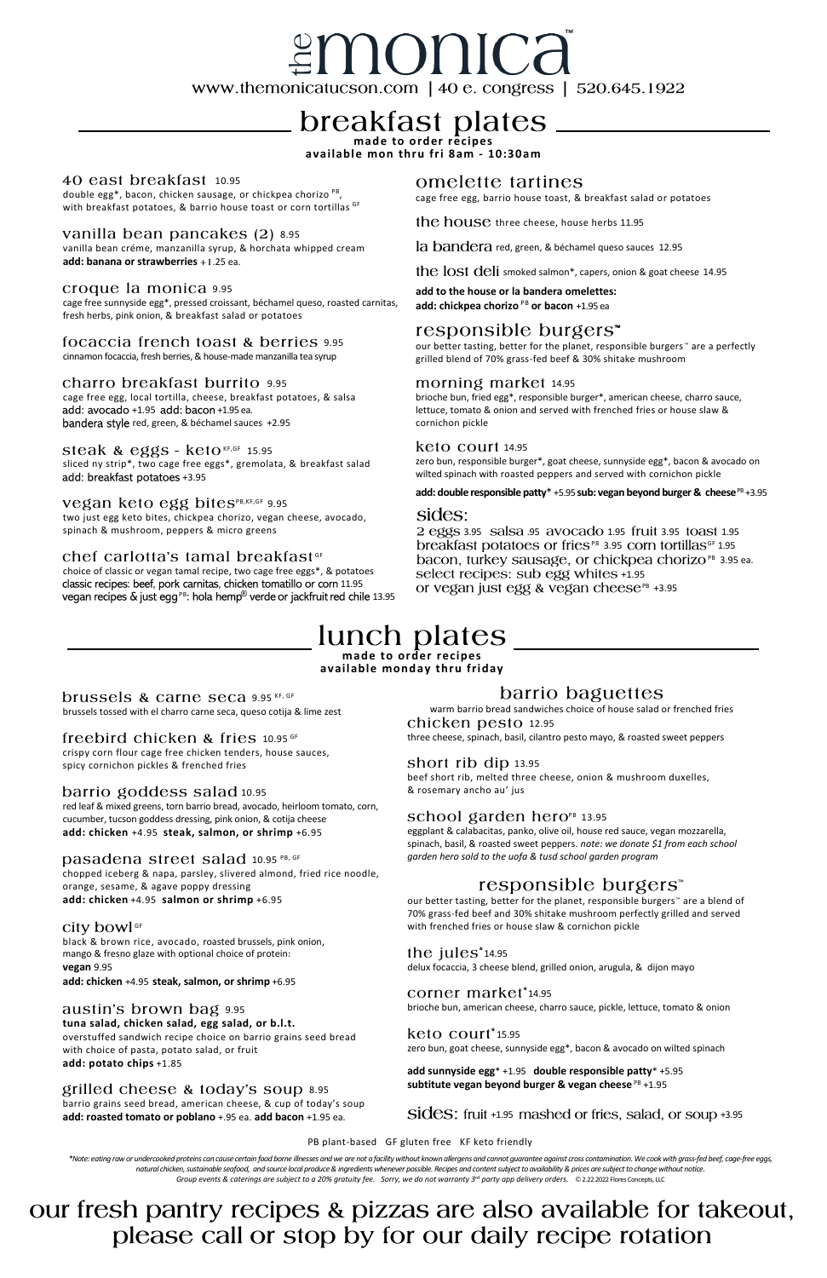# *≝monica*

www.themonicatucson.com | 40 e. congress |  $520.645.1922$ 

## **breakfast plates**

**available mon thru fri 8am - 10:30am**

#### 40 east breakfast 10.95

double egg\*, bacon, chicken sausage, or chickpea chorizo PB, with breakfast potatoes, & barrio house toast or corn tortillas GF

#### vanilla bean pancakes (2) 8.95

brussels tossed with el charro carne seca, queso cotija & lime zest

#### freebird chicken & fries 10.95 GF

crispy corn flour cage free chicken tenders, house sauces, spicy cornichon pickles & frenched fries

#### barrio goddess salad 10.95

red leaf & mixed greens, torn barrio bread, avocado, heirloom tomato, corn, cucumber, tucson goddess dressing, pink onion, & cotija cheese **add: chicken** +4.95 **steak, salmon, or shrimp** +6.95

#### pasadena street salad 10.95 PB, GF

chopped iceberg & napa, parsley, slivered almond, fried rice noodle, orange, sesame, & agave poppy dressing **add: chicken** +4.95 **salmon or shrimp** +6.95

#### City bowl<sup>GF</sup>

#### barrio baguettes

warm barrio bread sandwiches choice of house salad or frenched fries chicken pesto 12.95

black & brown rice, avocado, roasted brussels, pink onion, mango & fresno glaze with optional choice of protein: **vegan** 9.95

**add: chicken** +4.95 **steak, salmon, or shrimp** +6.95

#### austin's brown bag 9.95

#### **tuna salad, chicken salad, egg salad, or b.l.t.**

our better tasting, better for the planet, responsible burgers™ are a blend of 70% grass-fed beef and 30% shitake mushroom perfectly grilled and served with frenched fries or house slaw & cornichon pickle

overstuffed sandwich recipe choice on barrio grains seed bread with choice of pasta, potato salad, or fruit **add: potato chips** +1.85

#### grilled cheese & today's soup 8.95

the jules $i<sub>14.95</sub>$ delux focaccia, 3 cheese blend, grilled onion, arugula, & dijon mayo

#### corner market\*14.95

**add sunnyside egg**\* +1.95 **double responsible patty**\* +5.95 subtitute vegan beyond burger & vegan cheese<sup>PB</sup> +1.95

Sides: fruit +1.95 mashed or fries, salad, or soup +3.95

barrio grains seed bread, american cheese, & cup of today's soup **add: roasted tomato or poblano** +.95 ea. **add bacon** +1.95 ea.

vanilla bean créme, manzanilla syrup, & horchata whipped cream **add: banana or strawberries** +1.25 ea.

#### croque la monica 9.95

three cheese, spinach, basil, cilantro pesto mayo, & roasted sweet peppers

#### short rib dip 13.95

cage free egg, local tortilla, cheese, breakfast potatoes, & salsa add: avocado +1.95 add: bacon +1.95 ea. bandera style red, green, & béchamel sauces +2.95

#### steak & eggs -  $k$ eto KF,GF 15.95

beef short rib, melted three cheese, onion & mushroom duxelles, & rosemary ancho au' jus

#### school garden hero $P^B$  13.95

sliced ny strip\*, two cage free eggs\*, gremolata, & breakfast salad add: breakfast potatoes +3.95

#### Vegan keto egg bites<sup>PB,KF,GF</sup> 9.95

choice of classic or vegan tamal recipe, two cage free eggs\*, & potatoes classic recipes: beef, pork carnitas, chicken tomatillo or corn 11.95 vegan recipes & just egg<sup>PB</sup>: hola hemp<sup>®</sup> verde or jackfruit red chile 13.95

#### omelette tartines

eggplant & calabacitas, panko, olive oil, house red sauce, vegan mozzarella, spinach, basil, & roasted sweet peppers. *note: we donate \$1 from each school garden hero sold to the uofa & tusd school garden program*

### responsible burgers<sup>™</sup>

**add to the house or la bandera omelettes: add: chickpea chorizo** PB or bacon +1.95 ea

#### responsible burgers<sup>™</sup>

our better tasting, better for the planet, responsible burgers<sup>™</sup> are a perfectly grilled blend of 70% grass-fed beef & 30% shitake mushroom

#### morning market 14.95

brioche bun, american cheese, charro sauce, pickle, lettuce, tomato & onion

#### keto court<sup>\*</sup>15.95

zero bun, goat cheese, sunnyside egg\*, bacon & avocado on wilted spinach

\*Note: eating raw or undercooked proteins can cause certain food borne illnesses and we are not a facility without known allergens and cannot guarantee against cross contamination. We cook with grass-fed beef, cage-free eg *natural chicken, sustainable seafood, and source local produce & ingredients whenever possible. Recipes and content subject to availability & prices are subject to change without notice. Group events & caterings are subject to a 20% gratuity fee. Sorry, we do not warranty 3rd party app delivery orders.* ©2.22.2022 Flores Concepts, LLC

our fresh pantry recipes & pizzas are also available for takeout, please call or stop by for our daily recipe rotation

cage free sunnyside egg\*, pressed croissant, béchamel queso, roasted carnitas, fresh herbs, pink onion, & breakfast salad or potatoes

#### focaccia french toast & berries 9.95

cinnamon focaccia, fresh berries, & house-made manzanilla tea syrup

#### charro breakfast burrito 9.95

two just egg keto bites, chickpea chorizo, vegan cheese, avocado, spinach & mushroom, peppers & micro greens

#### chef carlotta's tamal breakfast<sup>®</sup>

cage free egg, barrio house toast, & breakfast salad or potatoes

the house three cheese, house herbs  $11.95$ 

la bandera red, green, & béchamel queso sauces 12.95

the lost deli smoked salmon<sup>\*</sup>, capers, onion & goat cheese 14.95

brioche bun, fried egg\*, responsible burger\*, american cheese, charro sauce, lettuce, tomato & onion and served with frenched fries or house slaw & cornichon pickle

#### keto court 14.95

zero bun, responsible burger\*, goat cheese, sunnyside egg\*, bacon & avocado on wilted spinach with roasted peppers and served with cornichon pickle

#### add: double responsible patty<sup>\*</sup> +5.95 sub: vegan beyond burger & cheese<sup>PB</sup> +3.95

#### sides:

2 eggs 3.95 salsa .95 avocado 1.95 fruit 3.95 toast 1.95 breakfast potatoes or fries<sup>PB</sup> 3.95 corn tortillas<sup>GF</sup> 1.95 bacon, turkey sausage, or chickpea chorizo<sup>PB</sup> 3.95 ea. select recipes: sub egg whites +1.95 or vegan just egg & vegan cheese<sup>PB</sup> +3.95

### lunch plates

**made to order recipes available monday thru friday**

#### brussels & carne seca 9.95 KF, GF

PB plant-based GF gluten free KF keto friendly